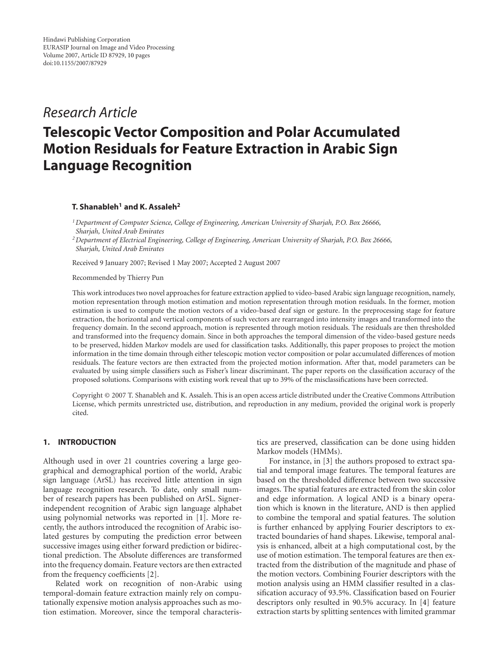## *Research Article*

# **Telescopic Vector Composition and Polar Accumulated Motion Residuals for Feature Extraction in Arabic Sign Language Recognition**

## **T. Shanableh<sup>1</sup> and K. Assaleh<sup>2</sup>**

*<sup>1</sup>Department of Computer Science, College of Engineering, American University of Sharjah, P.O. Box 26666, Sharjah, United Arab Emirates*

*<sup>2</sup>Department of Electrical Engineering, College of Engineering, American University of Sharjah, P.O. Box 26666, Sharjah, United Arab Emirates*

Received 9 January 2007; Revised 1 May 2007; Accepted 2 August 2007

Recommended by Thierry Pun

This work introduces two novel approaches for feature extraction applied to video-based Arabic sign language recognition, namely, motion representation through motion estimation and motion representation through motion residuals. In the former, motion estimation is used to compute the motion vectors of a video-based deaf sign or gesture. In the preprocessing stage for feature extraction, the horizontal and vertical components of such vectors are rearranged into intensity images and transformed into the frequency domain. In the second approach, motion is represented through motion residuals. The residuals are then thresholded and transformed into the frequency domain. Since in both approaches the temporal dimension of the video-based gesture needs to be preserved, hidden Markov models are used for classification tasks. Additionally, this paper proposes to project the motion information in the time domain through either telescopic motion vector composition or polar accumulated differences of motion residuals. The feature vectors are then extracted from the projected motion information. After that, model parameters can be evaluated by using simple classifiers such as Fisher's linear discriminant. The paper reports on the classification accuracy of the proposed solutions. Comparisons with existing work reveal that up to 39% of the misclassifications have been corrected.

Copyright © 2007 T. Shanableh and K. Assaleh. This is an open access article distributed under the Creative Commons Attribution License, which permits unrestricted use, distribution, and reproduction in any medium, provided the original work is properly cited.

## **1. INTRODUCTION**

Although used in over 21 countries covering a large geographical and demographical portion of the world, Arabic sign language (ArSL) has received little attention in sign language recognition research. To date, only small number of research papers has been published on ArSL. Signerindependent recognition of Arabic sign language alphabet using polynomial networks was reported in [1]. More recently, the authors introduced the recognition of Arabic isolated gestures by computing the prediction error between successive images using either forward prediction or bidirectional prediction. The Absolute differences are transformed into the frequency domain. Feature vectors are then extracted from the frequency coefficients [2].

Related work on recognition of non-Arabic using temporal-domain feature extraction mainly rely on computationally expensive motion analysis approaches such as motion estimation. Moreover, since the temporal characteristics are preserved, classification can be done using hidden Markov models (HMMs).

For instance, in [3] the authors proposed to extract spatial and temporal image features. The temporal features are based on the thresholded difference between two successive images. The spatial features are extracted from the skin color and edge information. A logical AND is a binary operation which is known in the literature, AND is then applied to combine the temporal and spatial features. The solution is further enhanced by applying Fourier descriptors to extracted boundaries of hand shapes. Likewise, temporal analysis is enhanced, albeit at a high computational cost, by the use of motion estimation. The temporal features are then extracted from the distribution of the magnitude and phase of the motion vectors. Combining Fourier descriptors with the motion analysis using an HMM classifier resulted in a classification accuracy of 93.5%. Classification based on Fourier descriptors only resulted in 90.5% accuracy. In [4] feature extraction starts by splitting sentences with limited grammar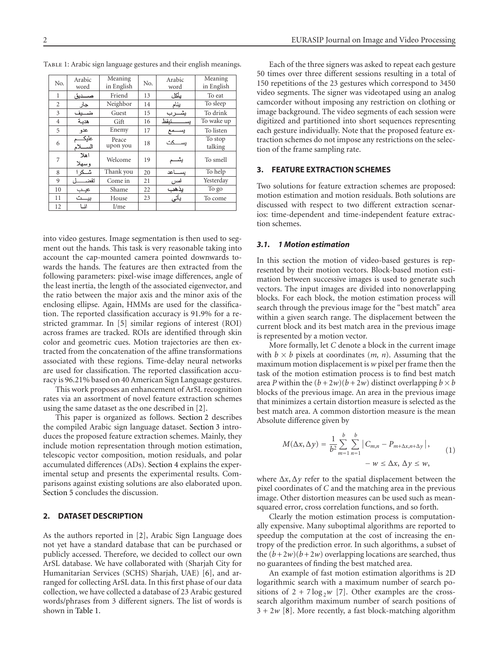| No.            | Arabic<br>word  | Meaning<br>in English | No. | Arabic<br>word | Meaning<br>in English |  |  |  |  |
|----------------|-----------------|-----------------------|-----|----------------|-----------------------|--|--|--|--|
| 1              | صــــديق        | Friend                | 13  | يأكل           | To eat                |  |  |  |  |
| $\overline{2}$ | جار             | Neighbor              | 14  | ينام           | To sleep              |  |  |  |  |
| 3              | ضــــبف         | Guest                 | 15  | بشــرب         | To drink              |  |  |  |  |
| $\overline{4}$ | هدبة            | Gift                  | 16  | تنقظ<br>فعد    | To wake up            |  |  |  |  |
| 5              | عدو             | Enemy                 | 17  | يستمع          | To listen             |  |  |  |  |
| 6              | عايك<br>السسلام | Peace<br>upon you     | 18  | ىسىكت          | To stop<br>talking    |  |  |  |  |
| 7              | اهلا<br>وسهلا   | Welcome               | 19  | يشـــم         | To smell              |  |  |  |  |
| 8              | شــکر ا         | Thank you             | 20  | ســـاعد        | To help               |  |  |  |  |
| 9              | تفض             | Come in               | 21  | امس            | Yesterday             |  |  |  |  |
| 10             | عيب             | Shame                 | 22  | يذهب           | To go                 |  |  |  |  |
| 11             | بيـــت          | House                 | 23  | يأتي           | To come               |  |  |  |  |
| 12             | انا             | $I/m$ e               |     |                |                       |  |  |  |  |

TABLE 1: Arabic sign language gestures and their english meanings.

into video gestures. Image segmentation is then used to segment out the hands. This task is very reasonable taking into account the cap-mounted camera pointed downwards towards the hands. The features are then extracted from the following parameters: pixel-wise image differences, angle of the least inertia, the length of the associated eigenvector, and the ratio between the major axis and the minor axis of the enclosing ellipse. Again, HMMs are used for the classification. The reported classification accuracy is 91.9% for a restricted grammar. In [5] similar regions of interest (ROI) across frames are tracked. ROIs are identified through skin color and geometric cues. Motion trajectories are then extracted from the concatenation of the affine transformations associated with these regions. Time-delay neural networks are used for classification. The reported classification accuracy is 96.21% based on 40 American Sign Language gestures.

This work proposes an enhancement of ArSL recognition rates via an assortment of novel feature extraction schemes using the same dataset as the one described in [2].

This paper is organized as follows. Section 2 describes the compiled Arabic sign language dataset. Section 3 introduces the proposed feature extraction schemes. Mainly, they include motion representation through motion estimation, telescopic vector composition, motion residuals, and polar accumulated differences (ADs). Section 4 explains the experimental setup and presents the experimental results. Comparisons against existing solutions are also elaborated upon. Section 5 concludes the discussion.

## **2. DATASET DESCRIPTION**

As the authors reported in [2], Arabic Sign Language does not yet have a standard database that can be purchased or publicly accessed. Therefore, we decided to collect our own ArSL database. We have collaborated with (Sharjah City for Humanitarian Services (SCHS) Sharjah, UAE) [6], and arranged for collecting ArSL data. In this first phase of our data collection, we have collected a database of 23 Arabic gestured words/phrases from 3 different signers. The list of words is shown in Table 1.

Each of the three signers was asked to repeat each gesture 50 times over three different sessions resulting in a total of 150 repetitions of the 23 gestures which correspond to 3450 video segments. The signer was videotaped using an analog camcorder without imposing any restriction on clothing or image background. The video segments of each session were digitized and partitioned into short sequences representing each gesture individually. Note that the proposed feature extraction schemes do not impose any restrictions on the selection of the frame sampling rate.

## **3. FEATURE EXTRACTION SCHEMES**

Two solutions for feature extraction schemes are proposed: motion estimation and motion residuals. Both solutions are discussed with respect to two different extraction scenarios: time-dependent and time-independent feature extraction schemes.

## *3.1. 1 Motion estimation*

In this section the motion of video-based gestures is represented by their motion vectors. Block-based motion estimation between successive images is used to generate such vectors. The input images are divided into nonoverlapping blocks. For each block, the motion estimation process will search through the previous image for the "best match" area within a given search range. The displacement between the current block and its best match area in the previous image is represented by a motion vector.

More formally, let *C* denote a block in the current image with  $b \times b$  pixels at coordinates  $(m, n)$ . Assuming that the maximum motion displacement is *w* pixel per frame then the task of the motion estimation process is to find best match area *P* within the  $(b+2w)(b+2w)$  distinct overlapping  $b \times b$ blocks of the previous image. An area in the previous image that minimizes a certain distortion measure is selected as the best match area. A common distortion measure is the mean Absolute difference given by

$$
M(\Delta x, \Delta y) = \frac{1}{b^2} \sum_{m=1}^{b} \sum_{n=1}^{b} |C_{m,n} - P_{m+\Delta x, n+\Delta y}|,
$$
  
-  $w \le \Delta x, \Delta y \le w,$  (1)

where ∆*x*,∆*y* refer to the spatial displacement between the pixel coordinates of *C* and the matching area in the previous image. Other distortion measures can be used such as meansquared error, cross correlation functions, and so forth.

Clearly the motion estimation process is computationally expensive. Many suboptimal algorithms are reported to speedup the computation at the cost of increasing the entropy of the prediction error. In such algorithms, a subset of the  $(b+2w)(b+2w)$  overlapping locations are searched, thus no guarantees of finding the best matched area.

An example of fast motion estimation algorithms is 2D logarithmic search with a maximum number of search positions of  $2 + 7 \log_2 w$  [7]. Other examples are the crosssearch algorithm maximum number of search positions of  $3 + 2w$  [8]. More recently, a fast block-matching algorithm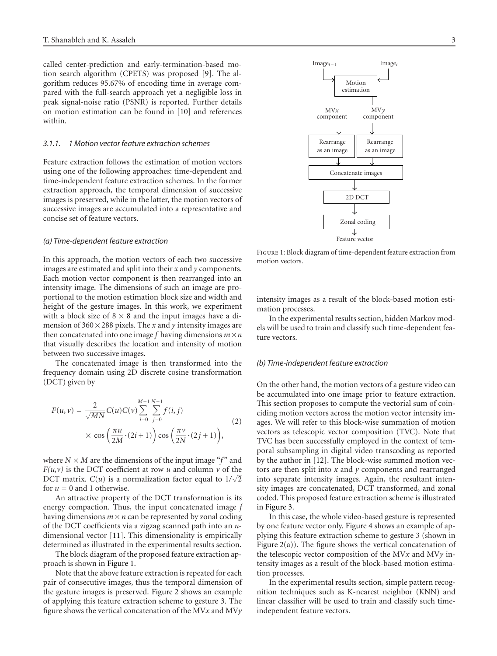called center-prediction and early-termination-based motion search algorithm (CPETS) was proposed [9]. The algorithm reduces 95.67% of encoding time in average compared with the full-search approach yet a negligible loss in peak signal-noise ratio (PSNR) is reported. Further details on motion estimation can be found in [10] and references within.

#### *3.1.1. 1 Motion vector feature extraction schemes*

Feature extraction follows the estimation of motion vectors using one of the following approaches: time-dependent and time-independent feature extraction schemes. In the former extraction approach, the temporal dimension of successive images is preserved, while in the latter, the motion vectors of successive images are accumulated into a representative and concise set of feature vectors.

## *(a) Time-dependent feature extraction*

In this approach, the motion vectors of each two successive images are estimated and split into their *x* and *y* components. Each motion vector component is then rearranged into an intensity image. The dimensions of such an image are proportional to the motion estimation block size and width and height of the gesture images. In this work, we experiment with a block size of  $8 \times 8$  and the input images have a dimension of  $360 \times 288$  pixels. The *x* and *y* intensity images are then concatenated into one image  $f$  having dimensions  $m \times n$ that visually describes the location and intensity of motion between two successive images.

The concatenated image is then transformed into the frequency domain using 2D discrete cosine transformation (DCT) given by

$$
F(u, v) = \frac{2}{\sqrt{MN}} C(u)C(v) \sum_{i=0}^{M-1} \sum_{j=0}^{N-1} f(i, j)
$$
  
 
$$
\times \cos\left(\frac{\pi u}{2M} \cdot (2i+1)\right) \cos\left(\frac{\pi v}{2N} \cdot (2j+1)\right),
$$
 (2)

where  $N \times M$  are the dimensions of the input image "f" and  $F(u, v)$  is the DCT coefficient at row *u* and column *v* of the DCT matrix.  $C(u)$  is a normalization factor equal to  $1/\sqrt{2}$ for  $u = 0$  and 1 otherwise.

An attractive property of the DCT transformation is its energy compaction. Thus, the input concatenated image *f* having dimensions  $m \times n$  can be represented by zonal coding of the DCT coefficients via a zigzag scanned path into an *n*dimensional vector [11]. This dimensionality is empirically determined as illustrated in the experimental results section.

The block diagram of the proposed feature extraction approach is shown in Figure 1.

Note that the above feature extraction is repeated for each pair of consecutive images, thus the temporal dimension of the gesture images is preserved. Figure 2 shows an example of applying this feature extraction scheme to gesture 3. The figure shows the vertical concatenation of the MV*x* and MV*y*



Figure 1: Block diagram of time-dependent feature extraction from motion vectors.

intensity images as a result of the block-based motion estimation processes.

In the experimental results section, hidden Markov models will be used to train and classify such time-dependent feature vectors.

#### *(b) Time-independent feature extraction*

On the other hand, the motion vectors of a gesture video can be accumulated into one image prior to feature extraction. This section proposes to compute the vectorial sum of coinciding motion vectors across the motion vector intensity images. We will refer to this block-wise summation of motion vectors as telescopic vector composition (TVC). Note that TVC has been successfully employed in the context of temporal subsampling in digital video transcoding as reported by the author in [12]. The block-wise summed motion vectors are then split into *x* and *y* components and rearranged into separate intensity images. Again, the resultant intensity images are concatenated, DCT transformed, and zonal coded. This proposed feature extraction scheme is illustrated in Figure 3.

In this case, the whole video-based gesture is represented by one feature vector only. Figure 4 shows an example of applying this feature extraction scheme to gesture 3 (shown in Figure  $2(a)$ ). The figure shows the vertical concatenation of the telescopic vector composition of the MV*x* and MV*y* intensity images as a result of the block-based motion estimation processes.

In the experimental results section, simple pattern recognition techniques such as K-nearest neighbor (KNN) and linear classifier will be used to train and classify such timeindependent feature vectors.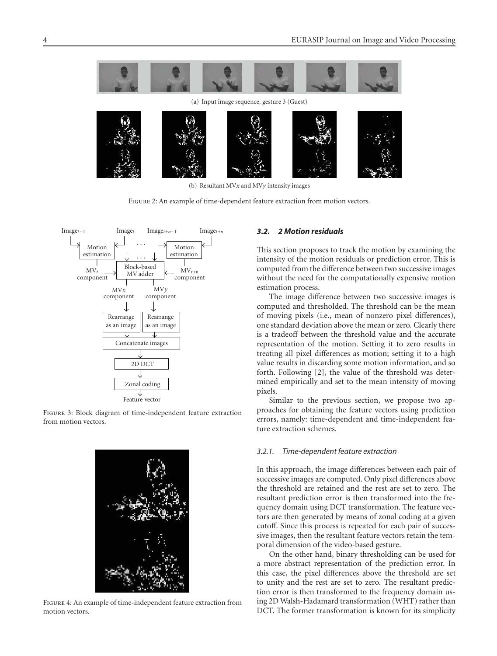

(b) Resultant MV*x* and MV*y* intensity images

Figure 2: An example of time-dependent feature extraction from motion vectors.



Figure 3: Block diagram of time-independent feature extraction from motion vectors.



Figure 4: An example of time-independent feature extraction from motion vectors.

## *3.2. 2 Motion residuals*

This section proposes to track the motion by examining the intensity of the motion residuals or prediction error. This is computed from the difference between two successive images without the need for the computationally expensive motion estimation process.

The image difference between two successive images is computed and thresholded. The threshold can be the mean of moving pixels (i.e., mean of nonzero pixel differences), one standard deviation above the mean or zero. Clearly there is a tradeoff between the threshold value and the accurate representation of the motion. Setting it to zero results in treating all pixel differences as motion; setting it to a high value results in discarding some motion information, and so forth. Following [2], the value of the threshold was determined empirically and set to the mean intensity of moving pixels.

Similar to the previous section, we propose two approaches for obtaining the feature vectors using prediction errors, namely: time-dependent and time-independent feature extraction schemes.

## *3.2.1. Time-dependent feature extraction*

In this approach, the image differences between each pair of successive images are computed. Only pixel differences above the threshold are retained and the rest are set to zero. The resultant prediction error is then transformed into the frequency domain using DCT transformation. The feature vectors are then generated by means of zonal coding at a given cutoff. Since this process is repeated for each pair of successive images, then the resultant feature vectors retain the temporal dimension of the video-based gesture.

On the other hand, binary thresholding can be used for a more abstract representation of the prediction error. In this case, the pixel differences above the threshold are set to unity and the rest are set to zero. The resultant prediction error is then transformed to the frequency domain using 2D Walsh-Hadamard transformation (WHT) rather than DCT. The former transformation is known for its simplicity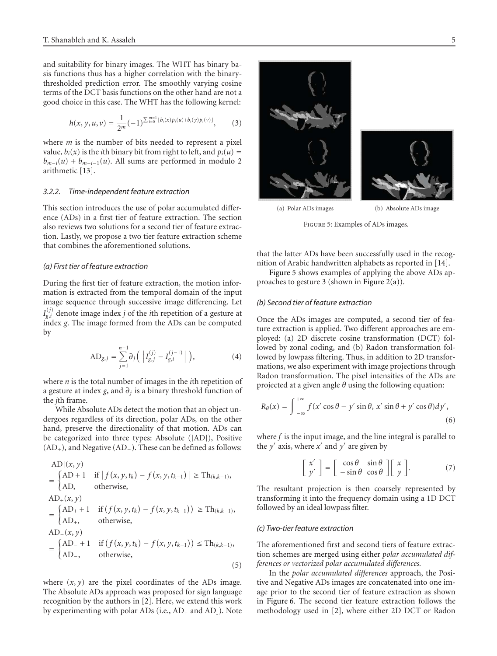and suitability for binary images. The WHT has binary basis functions thus has a higher correlation with the binarythresholded prediction error. The smoothly varying cosine terms of the DCT basis functions on the other hand are not a good choice in this case. The WHT has the following kernel:

$$
h(x, y, u, v) = \frac{1}{2^m} (-1)^{\sum_{i=0}^{m-1} \lfloor b_i(x) p_i(u) + b_i(y) p_i(v) \rfloor}, \quad (3)
$$

where *m* is the number of bits needed to represent a pixel value,  $b_i(x)$  is the *i*th binary bit from right to left, and  $p_i(u) =$  $b_{m-i}(u) + b_{m-i-1}(u)$ . All sums are performed in modulo 2 arithmetic [13].

#### *3.2.2. Time-independent feature extraction*

This section introduces the use of polar accumulated difference (ADs) in a first tier of feature extraction. The section also reviews two solutions for a second tier of feature extraction. Lastly, we propose a two tier feature extraction scheme that combines the aforementioned solutions.

## *(a) First tier of feature extraction*

During the first tier of feature extraction, the motion information is extracted from the temporal domain of the input image sequence through successive image differencing. Let  $I_{g,i}^{(j)}$  denote image index *j* of the *i*th repetition of a gesture at index *g*. The image formed from the ADs can be computed by

$$
AD_{g,j} = \sum_{j=1}^{n-1} \partial_j \left( \left| I_{g,j}^{(j)} - I_{g,i}^{(j-1)} \right| \right), \tag{4}
$$

where *n* is the total number of images in the *i*th repetition of a gesture at index *g*, and *∂<sup>j</sup>* is a binary threshold function of the *j*th frame.

While Absolute ADs detect the motion that an object undergoes regardless of its direction, polar ADs, on the other hand, preserve the directionality of that motion. ADs can be categorized into three types: Absolute (|AD|), Positive  $(AD<sub>+</sub>)$ , and Negative (AD<sub>−</sub>). These can be defined as follows:

$$
|AD|(x, y)
$$
  
=  $\begin{cases} AD + 1 & \text{if } |f(x, y, t_k) - f(x, y, t_{k-1})| \ge Th_{(k,k-1)}, \\ AD, & \text{otherwise,} \end{cases}$   

$$
AD_{+}(x, y)
$$
  
=  $\begin{cases} AD_{+} + 1 & \text{if } (f(x, y, t_k) - f(x, y, t_{k-1})) \ge Th_{(k,k-1)}, \\ AD_{+}, & \text{otherwise,} \end{cases}$   

$$
AD_{-}(x, y)
$$
  
=  $\begin{cases} AD_{-} + 1 & \text{if } (f(x, y, t_k) - f(x, y, t_{k-1})) \le Th_{(k,k-1)}, \\ AD_{-}, & \text{otherwise,} \end{cases}$   
(5)

where  $(x, y)$  are the pixel coordinates of the ADs image. The Absolute ADs approach was proposed for sign language recognition by the authors in [2]. Here, we extend this work by experimenting with polar ADs (i.e.,  $AD_+$  and  $AD_-$ ). Note



(a) Polar ADs images (b) Absolute ADs image

Figure 5: Examples of ADs images.

that the latter ADs have been successfully used in the recognition of Arabic handwritten alphabets as reported in [14].

Figure 5 shows examples of applying the above ADs approaches to gesture 3 (shown in Figure 2(a)).

## *(b) Second tier of feature extraction*

Once the ADs images are computed, a second tier of feature extraction is applied. Two different approaches are employed: (a) 2D discrete cosine transformation (DCT) followed by zonal coding, and (b) Radon transformation followed by lowpass filtering. Thus, in addition to 2D transformations, we also experiment with image projections through Radon transformation. The pixel intensities of the ADs are projected at a given angle *θ* using the following equation:

$$
R_{\theta}(x) = \int_{-\infty}^{+\infty} f(x' \cos \theta - y' \sin \theta, x' \sin \theta + y' \cos \theta) dy',
$$
\n(6)

where *f* is the input image, and the line integral is parallel to the  $y'$  axis, where  $x'$  and  $y'$  are given by

$$
\begin{bmatrix} x' \\ y' \end{bmatrix} = \begin{bmatrix} \cos \theta & \sin \theta \\ -\sin \theta & \cos \theta \end{bmatrix} \begin{bmatrix} x \\ y \end{bmatrix}.
$$
 (7)

The resultant projection is then coarsely represented by transforming it into the frequency domain using a 1D DCT followed by an ideal lowpass filter.

## *(c) Two-tier feature extraction*

The aforementioned first and second tiers of feature extraction schemes are merged using either *polar accumulated differences or vectorized polar accumulated differences.*

In the *polar accumulated differences* approach, the Positive and Negative ADs images are concatenated into one image prior to the second tier of feature extraction as shown in Figure 6. The second tier feature extraction follows the methodology used in [2], where either 2D DCT or Radon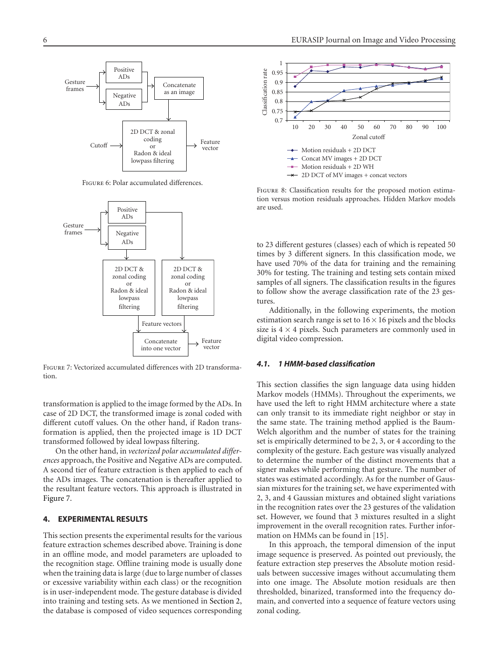

Figure 6: Polar accumulated differences.



Figure 7: Vectorized accumulated differences with 2D transformation.

transformation is applied to the image formed by the ADs. In case of 2D DCT, the transformed image is zonal coded with different cutoff values. On the other hand, if Radon transformation is applied, then the projected image is 1D DCT transformed followed by ideal lowpass filtering.

On the other hand, in *vectorized polar accumulated differences* approach, the Positive and Negative ADs are computed. A second tier of feature extraction is then applied to each of the ADs images. The concatenation is thereafter applied to the resultant feature vectors. This approach is illustrated in Figure 7.

## **4. EXPERIMENTAL RESULTS**

This section presents the experimental results for the various feature extraction schemes described above. Training is done in an offline mode, and model parameters are uploaded to the recognition stage. Offline training mode is usually done when the training data is large (due to large number of classes or excessive variability within each class) or the recognition is in user-independent mode. The gesture database is divided into training and testing sets. As we mentioned in Section 2, the database is composed of video sequences corresponding



Figure 8: Classification results for the proposed motion estimation versus motion residuals approaches. Hidden Markov models are used.

to 23 different gestures (classes) each of which is repeated 50 times by 3 different signers. In this classification mode, we have used 70% of the data for training and the remaining 30% for testing. The training and testing sets contain mixed samples of all signers. The classification results in the figures to follow show the average classification rate of the 23 gestures.

Additionally, in the following experiments, the motion estimation search range is set to  $16 \times 16$  pixels and the blocks size is  $4 \times 4$  pixels. Such parameters are commonly used in digital video compression.

## *4.1. 1 HMM-based classification*

This section classifies the sign language data using hidden Markov models (HMMs). Throughout the experiments, we have used the left to right HMM architecture where a state can only transit to its immediate right neighbor or stay in the same state. The training method applied is the Baum-Welch algorithm and the number of states for the training set is empirically determined to be 2, 3, or 4 according to the complexity of the gesture. Each gesture was visually analyzed to determine the number of the distinct movements that a signer makes while performing that gesture. The number of states was estimated accordingly. As for the number of Gaussian mixtures for the training set, we have experimented with 2, 3, and 4 Gaussian mixtures and obtained slight variations in the recognition rates over the 23 gestures of the validation set. However, we found that 3 mixtures resulted in a slight improvement in the overall recognition rates. Further information on HMMs can be found in [15].

In this approach, the temporal dimension of the input image sequence is preserved. As pointed out previously, the feature extraction step preserves the Absolute motion residuals between successive images without accumulating them into one image. The Absolute motion residuals are then thresholded, binarized, transformed into the frequency domain, and converted into a sequence of feature vectors using zonal coding.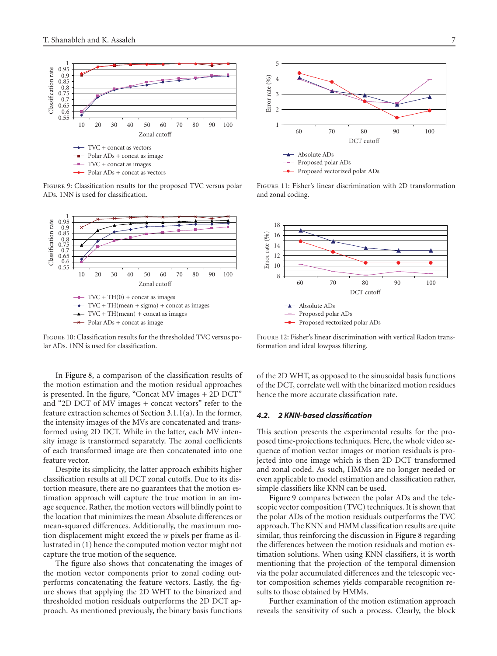

Figure 9: Classification results for the proposed TVC versus polar ADs. 1NN is used for classification.



Figure 10: Classification results for the thresholded TVC versus polar ADs. 1NN is used for classification.

In Figure 8, a comparison of the classification results of the motion estimation and the motion residual approaches is presented. In the figure, "Concat MV images + 2D DCT" and "2D DCT of MV images + concat vectors" refer to the feature extraction schemes of Section 3.1.1(a). In the former, the intensity images of the MVs are concatenated and transformed using 2D DCT. While in the latter, each MV intensity image is transformed separately. The zonal coefficients of each transformed image are then concatenated into one feature vector.

Despite its simplicity, the latter approach exhibits higher classification results at all DCT zonal cutoffs. Due to its distortion measure, there are no guarantees that the motion estimation approach will capture the true motion in an image sequence. Rather, the motion vectors will blindly point to the location that minimizes the mean Absolute differences or mean-squared differences. Additionally, the maximum motion displacement might exceed the *w* pixels per frame as illustrated in (1) hence the computed motion vector might not capture the true motion of the sequence.

The figure also shows that concatenating the images of the motion vector components prior to zonal coding outperforms concatenating the feature vectors. Lastly, the figure shows that applying the 2D WHT to the binarized and thresholded motion residuals outperforms the 2D DCT approach. As mentioned previously, the binary basis functions



Figure 11: Fisher's linear discrimination with 2D transformation and zonal coding.



Figure 12: Fisher's linear discrimination with vertical Radon transformation and ideal lowpass filtering.

of the 2D WHT, as opposed to the sinusoidal basis functions of the DCT, correlate well with the binarized motion residues hence the more accurate classification rate.

## *4.2. 2 KNN-based classification*

This section presents the experimental results for the proposed time-projections techniques. Here, the whole video sequence of motion vector images or motion residuals is projected into one image which is then 2D DCT transformed and zonal coded. As such, HMMs are no longer needed or even applicable to model estimation and classification rather, simple classifiers like KNN can be used.

Figure 9 compares between the polar ADs and the telescopic vector composition (TVC) techniques. It is shown that the polar ADs of the motion residuals outperforms the TVC approach. The KNN and HMM classification results are quite similar, thus reinforcing the discussion in Figure 8 regarding the differences between the motion residuals and motion estimation solutions. When using KNN classifiers, it is worth mentioning that the projection of the temporal dimension via the polar accumulated differences and the telescopic vector composition schemes yields comparable recognition results to those obtained by HMMs.

Further examination of the motion estimation approach reveals the sensitivity of such a process. Clearly, the block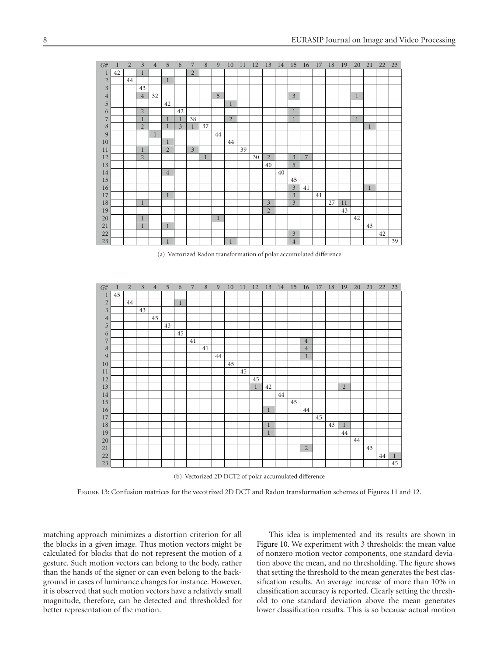| G#             | 1  | $\overline{2}$ | 3              | $\overline{4}$ | 5              | 6              | 7              | 8            | 9            | 10             | 11 | 12 | 13             | 14 | 15             | 16             | 17 | 18 | 19 | 20           | 21 | 22 | 23 |
|----------------|----|----------------|----------------|----------------|----------------|----------------|----------------|--------------|--------------|----------------|----|----|----------------|----|----------------|----------------|----|----|----|--------------|----|----|----|
| 1              | 42 |                | 1              |                |                |                | $\overline{2}$ |              |              |                |    |    |                |    |                |                |    |    |    |              |    |    |    |
| $\overline{2}$ |    | 44             |                |                | $\mathbf{1}$   |                |                |              |              |                |    |    |                |    |                |                |    |    |    |              |    |    |    |
| $\overline{3}$ |    |                | 43             |                |                |                |                |              |              |                |    |    |                |    |                |                |    |    |    |              |    |    |    |
| $\overline{4}$ |    |                | $\overline{4}$ | 32             |                |                |                |              | 5            |                |    |    |                |    | $\overline{3}$ |                |    |    |    | $\mathbf{1}$ |    |    |    |
| 5              |    |                |                |                | 42             |                |                |              |              | $\mathbf{1}$   |    |    |                |    |                |                |    |    |    |              |    |    |    |
| 6              |    |                | $\overline{2}$ |                |                | 42             |                |              |              |                |    |    |                |    | $\mathbf 1$    |                |    |    |    |              |    |    |    |
| 7              |    |                | $\mathbf{1}$   |                | $\mathbf{1}$   | $\mathbf{1}$   | 38             |              |              | $\overline{2}$ |    |    |                |    | 1              |                |    |    |    | 1            |    |    |    |
| 8              |    |                | $\overline{2}$ |                | $\mathbf{1}$   | $\overline{3}$ | 1              | 37           |              |                |    |    |                |    |                |                |    |    |    |              | 1  |    |    |
| 9              |    |                |                | $\mathbf{1}$   |                |                |                |              | 44           |                |    |    |                |    |                |                |    |    |    |              |    |    |    |
| 10             |    |                |                |                | $\mathbf{1}$   |                |                |              |              | 44             |    |    |                |    |                |                |    |    |    |              |    |    |    |
| 11             |    |                | $\mathbf{1}$   |                | $\overline{2}$ |                | $\overline{3}$ |              |              |                | 39 |    |                |    |                |                |    |    |    |              |    |    |    |
| 12             |    |                | $\overline{2}$ |                |                |                |                | $\mathbf{1}$ |              |                |    | 30 | $\overline{2}$ |    | $\overline{3}$ | $\overline{7}$ |    |    |    |              |    |    |    |
| 13             |    |                |                |                |                |                |                |              |              |                |    |    | 40             |    | 5              |                |    |    |    |              |    |    |    |
| 14             |    |                |                |                | $\overline{4}$ |                |                |              |              |                |    |    |                | 40 |                |                |    |    |    |              |    |    |    |
| 15             |    |                |                |                |                |                |                |              |              |                |    |    |                |    | 45             |                |    |    |    |              |    |    |    |
| 16             |    |                |                |                |                |                |                |              |              |                |    |    |                |    | $\overline{3}$ | 41             |    |    |    |              | 1  |    |    |
| 17             |    |                |                |                | $\mathbf{1}$   |                |                |              |              |                |    |    |                |    | $\overline{3}$ |                | 41 |    |    |              |    |    |    |
| $18\,$         |    |                | $\mathbf{1}$   |                |                |                |                |              |              |                |    |    | $\overline{3}$ |    | $\overline{3}$ |                |    | 27 | 11 |              |    |    |    |
| 19             |    |                |                |                |                |                |                |              |              |                |    |    | $\overline{2}$ |    |                |                |    |    | 43 |              |    |    |    |
| 20             |    |                | $\mathbf{1}$   |                |                |                |                |              | $\mathbf{1}$ |                |    |    |                |    |                |                |    |    |    | 42           |    |    |    |
| 21             |    |                | $\mathbf{1}$   |                | $\mathbf{1}$   |                |                |              |              |                |    |    |                |    |                |                |    |    |    |              | 43 |    |    |
| $22\,$         |    |                |                |                |                |                |                |              |              |                |    |    |                |    | $\mathfrak{Z}$ |                |    |    |    |              |    | 42 |    |
| 23             |    |                |                |                | $\mathbf{1}$   |                |                |              |              | $\mathbf{1}$   |    |    |                |    | $\sqrt{4}$     |                |    |    |    |              |    |    | 39 |

(a) Vectorized Radon transformation of polar accumulated difference

| G#             | 1  | $\overline{2}$ | 3  | $\overline{4}$ | 5  | 6            | $\overline{7}$ | 8  | 9  | 10 | 11 | 12           | 13           | 14 | 15 | 16             | 17 | 18 | 19             | 20 | 21 | 22 | 23 |
|----------------|----|----------------|----|----------------|----|--------------|----------------|----|----|----|----|--------------|--------------|----|----|----------------|----|----|----------------|----|----|----|----|
| $\mathbf{1}$   | 45 |                |    |                |    |              |                |    |    |    |    |              |              |    |    |                |    |    |                |    |    |    |    |
| $\overline{2}$ |    | 44             |    |                |    | $\mathbf{1}$ |                |    |    |    |    |              |              |    |    |                |    |    |                |    |    |    |    |
| $\mathfrak z$  |    |                | 43 |                |    |              |                |    |    |    |    |              |              |    |    |                |    |    |                |    |    |    |    |
| $\sqrt{4}$     |    |                |    | 45             |    |              |                |    |    |    |    |              |              |    |    |                |    |    |                |    |    |    |    |
| $\overline{5}$ |    |                |    |                | 43 |              |                |    |    |    |    |              |              |    |    |                |    |    |                |    |    |    |    |
| 6              |    |                |    |                |    | 45           |                |    |    |    |    |              |              |    |    |                |    |    |                |    |    |    |    |
| $\overline{7}$ |    |                |    |                |    |              | 41             |    |    |    |    |              |              |    |    | $\overline{4}$ |    |    |                |    |    |    |    |
| $\,$ 8 $\,$    |    |                |    |                |    |              |                | 41 |    |    |    |              |              |    |    | $\overline{4}$ |    |    |                |    |    |    |    |
| 9              |    |                |    |                |    |              |                |    | 44 |    |    |              |              |    |    | 1              |    |    |                |    |    |    |    |
| 10             |    |                |    |                |    |              |                |    |    | 45 |    |              |              |    |    |                |    |    |                |    |    |    |    |
| 11             |    |                |    |                |    |              |                |    |    |    | 45 |              |              |    |    |                |    |    |                |    |    |    |    |
| 12             |    |                |    |                |    |              |                |    |    |    |    | 45           |              |    |    |                |    |    |                |    |    |    |    |
| 13             |    |                |    |                |    |              |                |    |    |    |    | $\mathbf{1}$ | 42           |    |    |                |    |    | $\overline{2}$ |    |    |    |    |
| 14             |    |                |    |                |    |              |                |    |    |    |    |              |              | 44 |    |                |    |    |                |    |    |    |    |
| 15             |    |                |    |                |    |              |                |    |    |    |    |              |              |    | 45 |                |    |    |                |    |    |    |    |
| 16             |    |                |    |                |    |              |                |    |    |    |    |              | $\,1$        |    |    | 44             |    |    |                |    |    |    |    |
| 17             |    |                |    |                |    |              |                |    |    |    |    |              |              |    |    |                | 45 |    |                |    |    |    |    |
| $18\,$         |    |                |    |                |    |              |                |    |    |    |    |              | $\,1$        |    |    |                |    | 43 | $\mathbf{1}$   |    |    |    |    |
| 19             |    |                |    |                |    |              |                |    |    |    |    |              | $\mathbf{1}$ |    |    |                |    |    | 44             |    |    |    |    |
| 20             |    |                |    |                |    |              |                |    |    |    |    |              |              |    |    |                |    |    |                | 44 |    |    |    |
| 21             |    |                |    |                |    |              |                |    |    |    |    |              |              |    |    | $\overline{2}$ |    |    |                |    | 43 |    |    |
| 22             |    |                |    |                |    |              |                |    |    |    |    |              |              |    |    |                |    |    |                |    |    | 44 |    |
| 23             |    |                |    |                |    |              |                |    |    |    |    |              |              |    |    |                |    |    |                |    |    |    | 45 |

(b) Vectorized 2D DCT2 of polar accumulated difference

Figure 13: Confusion matrices for the vecotrized 2D DCT and Radon transformation schemes of Figures 11 and 12.

matching approach minimizes a distortion criterion for all the blocks in a given image. Thus motion vectors might be calculated for blocks that do not represent the motion of a gesture. Such motion vectors can belong to the body, rather than the hands of the signer or can even belong to the background in cases of luminance changes for instance. However, it is observed that such motion vectors have a relatively small magnitude, therefore, can be detected and thresholded for better representation of the motion.

This idea is implemented and its results are shown in Figure 10. We experiment with 3 thresholds: the mean value of nonzero motion vector components, one standard deviation above the mean, and no thresholding. The figure shows that setting the threshold to the mean generates the best classification results. An average increase of more than 10% in classification accuracy is reported. Clearly setting the threshold to one standard deviation above the mean generates lower classification results. This is so because actual motion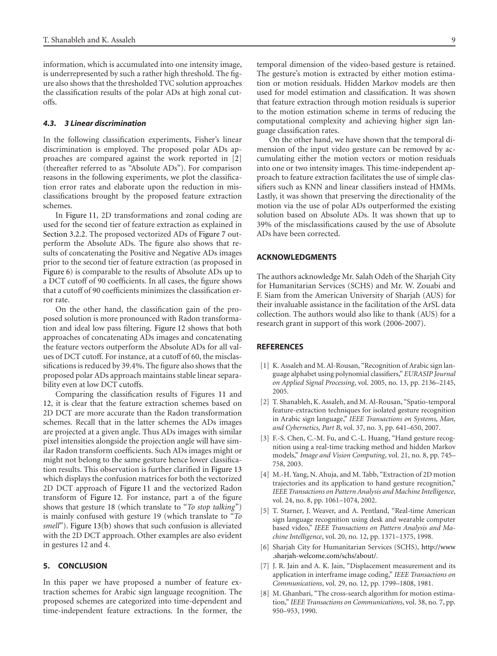information, which is accumulated into one intensity image, is underrepresented by such a rather high threshold. The figure also shows that the thresholded TVC solution approaches the classification results of the polar ADs at high zonal cutoffs.

## *4.3. 3 Linear discrimination*

In the following classification experiments, Fisher's linear discrimination is employed. The proposed polar ADs approaches are compared against the work reported in [2] (thereafter referred to as "Absolute ADs"). For comparison reasons in the following experiments, we plot the classification error rates and elaborate upon the reduction in misclassifications brought by the proposed feature extraction schemes.

In Figure 11, 2D transformations and zonal coding are used for the second tier of feature extraction as explained in Section 3.2.2. The proposed vectorized ADs of Figure 7 outperform the Absolute ADs. The figure also shows that results of concatenating the Positive and Negative ADs images prior to the second tier of feature extraction (as proposed in Figure 6) is comparable to the results of Absolute ADs up to a DCT cutoff of 90 coefficients. In all cases, the figure shows that a cutoff of 90 coefficients minimizes the classification error rate.

On the other hand, the classification gain of the proposed solution is more pronounced with Radon transformation and ideal low pass filtering. Figure 12 shows that both approaches of concatenating ADs images and concatenating the feature vectors outperform the Absolute ADs for all values of DCT cutoff. For instance, at a cutoff of 60, the misclassifications is reduced by 39.4%. The figure also shows that the proposed polar ADs approach maintains stable linear separability even at low DCT cutoffs.

Comparing the classification results of Figures 11 and 12, it is clear that the feature extraction schemes based on 2D DCT are more accurate than the Radon transformation schemes. Recall that in the latter schemes the ADs images are projected at a given angle. Thus ADs images with similar pixel intensities alongside the projection angle will have similar Radon transform coefficients. Such ADs images might or might not belong to the same gesture hence lower classification results. This observation is further clarified in Figure 13 which displays the confusion matrices for both the vectorized 2D DCT approach of Figure 11 and the vectorized Radon transform of Figure 12. For instance, part a of the figure shows that gesture 18 (which translate to "*To stop talking*") is mainly confused with gesture 19 (which translate to "*To smell*"). Figure 13(b) shows that such confusion is alleviated with the 2D DCT approach. Other examples are also evident in gestures 12 and 4.

## **5. CONCLUSION**

In this paper we have proposed a number of feature extraction schemes for Arabic sign language recognition. The proposed schemes are categorized into time-dependent and time-independent feature extractions. In the former, the temporal dimension of the video-based gesture is retained. The gesture's motion is extracted by either motion estimation or motion residuals. Hidden Markov models are then used for model estimation and classification. It was shown that feature extraction through motion residuals is superior to the motion estimation scheme in terms of reducing the computational complexity and achieving higher sign language classification rates.

On the other hand, we have shown that the temporal dimension of the input video gesture can be removed by accumulating either the motion vectors or motion residuals into one or two intensity images. This time-independent approach to feature extraction facilitates the use of simple classifiers such as KNN and linear classifiers instead of HMMs. Lastly, it was shown that preserving the directionality of the motion via the use of polar ADs outperformed the existing solution based on Absolute ADs. It was shown that up to 39% of the misclassifications caused by the use of Absolute ADs have been corrected.

## **ACKNOWLEDGMENTS**

The authors acknowledge Mr. Salah Odeh of the Sharjah City for Humanitarian Services (SCHS) and Mr. W. Zouabi and F. Siam from the American University of Sharjah (AUS) for their invaluable assistance in the facilitation of the ArSL data collection. The authors would also like to thank (AUS) for a research grant in support of this work (2006-2007).

## **REFERENCES**

- [1] K. Assaleh and M. Al-Rousan, "Recognition of Arabic sign language alphabet using polynomial classifiers," *EURASIP Journal on Applied Signal Processing*, vol. 2005, no. 13, pp. 2136–2145, 2005.
- [2] T. Shanableh, K. Assaleh, and M. Al-Rousan, "Spatio-temporal feature-extraction techniques for isolated gesture recognition in Arabic sign language," *IEEE Transactions on Systems, Man, and Cybernetics, Part B*, vol. 37, no. 3, pp. 641–650, 2007.
- [3] F.-S. Chen, C.-M. Fu, and C.-L. Huang, "Hand gesture recognition using a real-time tracking method and hidden Markov models," *Image and Vision Computing*, vol. 21, no. 8, pp. 745– 758, 2003.
- [4] M.-H. Yang, N. Ahuja, and M. Tabb, "Extraction of 2D motion trajectories and its application to hand gesture recognition," *IEEE Transactions on Pattern Analysis and Machine Intelligence*, vol. 24, no. 8, pp. 1061–1074, 2002.
- [5] T. Starner, J. Weaver, and A. Pentland, "Real-time American sign language recognition using desk and wearable computer based video," *IEEE Transactions on Pattern Analysis and Machine Intelligence*, vol. 20, no. 12, pp. 1371–1375, 1998.
- [6] Sharjah City for Humanitarian Services (SCHS), http://www .sharjah-welcome.com/schs/about/.
- [7] J. R. Jain and A. K. Jain, "Displacement measurement and its application in interframe image coding," *IEEE Transactions on Communications*, vol. 29, no. 12, pp. 1799–1808, 1981.
- [8] M. Ghanbari, "The cross-search algorithm for motion estimation," *IEEE Transactions on Communications*, vol. 38, no. 7, pp. 950–953, 1990.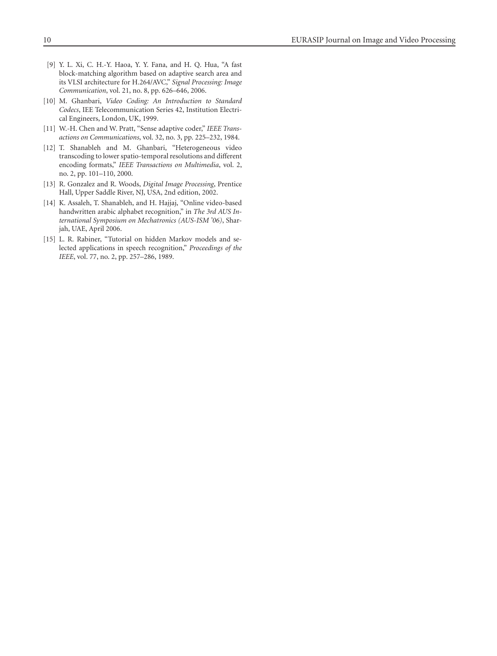- [9] Y. L. Xi, C. H.-Y. Haoa, Y. Y. Fana, and H. Q. Hua, "A fast block-matching algorithm based on adaptive search area and its VLSI architecture for H.264/AVC," *Signal Processing: Image Communication*, vol. 21, no. 8, pp. 626–646, 2006.
- [10] M. Ghanbari, *Video Coding: An Introduction to Standard Codecs*, IEE Telecommunication Series 42, Institution Electrical Engineers, London, UK, 1999.
- [11] W.-H. Chen and W. Pratt, "Sense adaptive coder," *IEEE Transactions on Communications*, vol. 32, no. 3, pp. 225–232, 1984.
- [12] T. Shanableh and M. Ghanbari, "Heterogeneous video transcoding to lower spatio-temporal resolutions and different encoding formats," *IEEE Transactions on Multimedia*, vol. 2, no. 2, pp. 101–110, 2000.
- [13] R. Gonzalez and R. Woods, *Digital Image Processing*, Prentice Hall, Upper Saddle River, NJ, USA, 2nd edition, 2002.
- [14] K. Assaleh, T. Shanableh, and H. Hajjaj, "Online video-based handwritten arabic alphabet recognition," in *The 3rd AUS International Symposium on Mechatronics (AUS-ISM '06)*, Sharjah, UAE, April 2006.
- [15] L. R. Rabiner, "Tutorial on hidden Markov models and selected applications in speech recognition," *Proceedings of the IEEE*, vol. 77, no. 2, pp. 257–286, 1989.